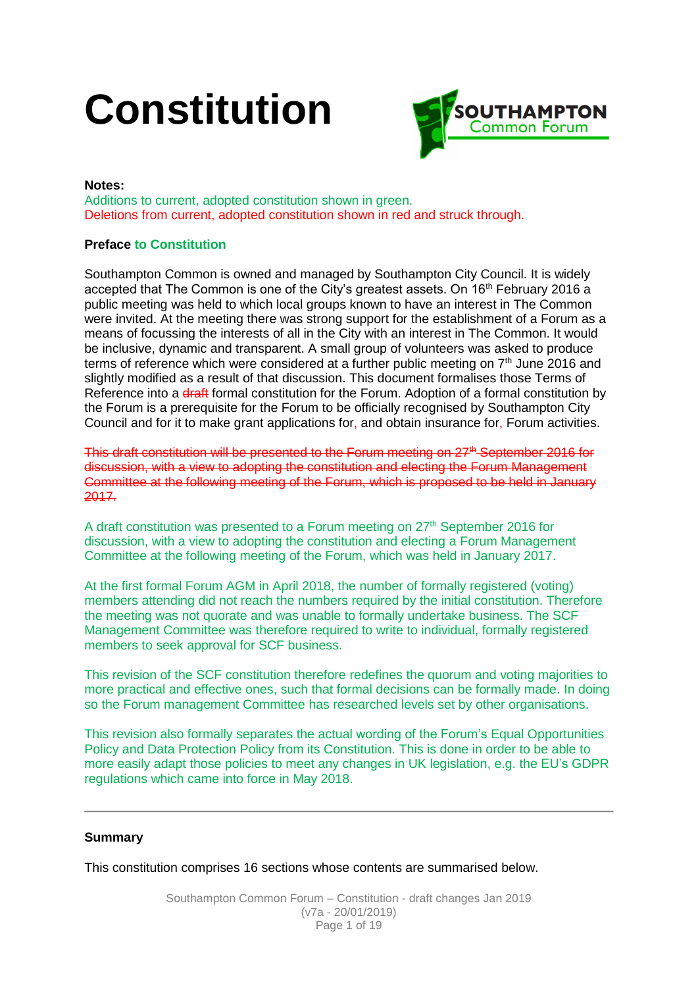# **Constitution**



# **Notes:**

Additions to current, adopted constitution shown in green. Deletions from current, adopted constitution shown in red and struck through.

# **Preface to Constitution**

Southampton Common is owned and managed by Southampton City Council. It is widely accepted that The Common is one of the City's greatest assets. On 16<sup>th</sup> February 2016 a public meeting was held to which local groups known to have an interest in The Common were invited. At the meeting there was strong support for the establishment of a Forum as a means of focussing the interests of all in the City with an interest in The Common. It would be inclusive, dynamic and transparent. A small group of volunteers was asked to produce terms of reference which were considered at a further public meeting on  $7<sup>th</sup>$  June 2016 and slightly modified as a result of that discussion. This document formalises those Terms of Reference into a draft formal constitution for the Forum. Adoption of a formal constitution by the Forum is a prerequisite for the Forum to be officially recognised by Southampton City Council and for it to make grant applications for, and obtain insurance for, Forum activities.

This draft constitution will be presented to the Forum meeting on  $27<sup>th</sup>$ -September 2016 for discussion, with a view to adopting the constitution and electing the Forum Management Committee at the following meeting of the Forum, which is proposed to be held in January 2017.

A draft constitution was presented to a Forum meeting on  $27<sup>th</sup>$  September 2016 for discussion, with a view to adopting the constitution and electing a Forum Management Committee at the following meeting of the Forum, which was held in January 2017.

At the first formal Forum AGM in April 2018, the number of formally registered (voting) members attending did not reach the numbers required by the initial constitution. Therefore the meeting was not quorate and was unable to formally undertake business. The SCF Management Committee was therefore required to write to individual, formally registered members to seek approval for SCF business.

This revision of the SCF constitution therefore redefines the quorum and voting majorities to more practical and effective ones, such that formal decisions can be formally made. In doing so the Forum management Committee has researched levels set by other organisations.

This revision also formally separates the actual wording of the Forum's Equal Opportunities Policy and Data Protection Policy from its Constitution. This is done in order to be able to more easily adapt those policies to meet any changes in UK legislation, e.g. the EU's GDPR regulations which came into force in May 2018.

# **Summary**

This constitution comprises 16 sections whose contents are summarised below.

Southampton Common Forum – Constitution - draft changes Jan 2019 (v7a - 20/01/2019) Page 1 of 19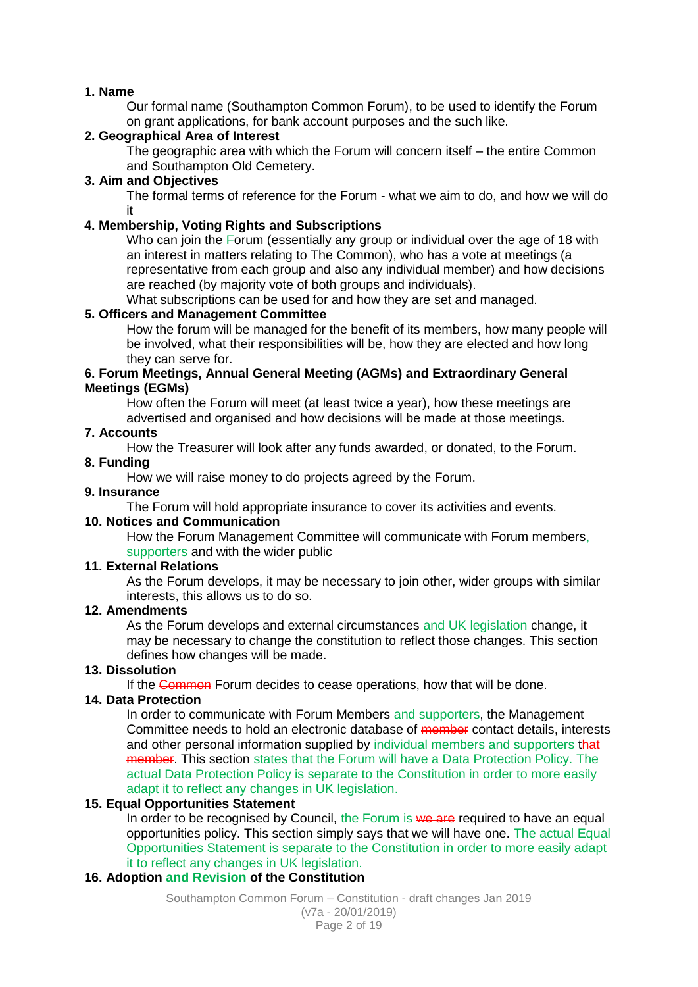# **1. Name**

Our formal name (Southampton Common Forum), to be used to identify the Forum on grant applications, for bank account purposes and the such like.

# **2. Geographical Area of Interest**

The geographic area with which the Forum will concern itself – the entire Common and Southampton Old Cemetery.

# **3. Aim and Objectives**

The formal terms of reference for the Forum - what we aim to do, and how we will do it

# **4. Membership, Voting Rights and Subscriptions**

Who can join the Forum (essentially any group or individual over the age of 18 with an interest in matters relating to The Common), who has a vote at meetings (a representative from each group and also any individual member) and how decisions are reached (by majority vote of both groups and individuals).

What subscriptions can be used for and how they are set and managed.

# **5. Officers and Management Committee**

How the forum will be managed for the benefit of its members, how many people will be involved, what their responsibilities will be, how they are elected and how long they can serve for.

#### **6. Forum Meetings, Annual General Meeting (AGMs) and Extraordinary General Meetings (EGMs)**

How often the Forum will meet (at least twice a year), how these meetings are advertised and organised and how decisions will be made at those meetings.

# **7. Accounts**

How the Treasurer will look after any funds awarded, or donated, to the Forum.

# **8. Funding**

How we will raise money to do projects agreed by the Forum.

# **9. Insurance**

The Forum will hold appropriate insurance to cover its activities and events.

# **10. Notices and Communication**

How the Forum Management Committee will communicate with Forum members, supporters and with the wider public

# **11. External Relations**

As the Forum develops, it may be necessary to join other, wider groups with similar interests, this allows us to do so.

# **12. Amendments**

As the Forum develops and external circumstances and UK legislation change, it may be necessary to change the constitution to reflect those changes. This section defines how changes will be made.

# **13. Dissolution**

If the Common Forum decides to cease operations, how that will be done.

# **14. Data Protection**

In order to communicate with Forum Members and supporters, the Management Committee needs to hold an electronic database of member contact details, interests and other personal information supplied by individual members and supporters that member. This section states that the Forum will have a Data Protection Policy. The actual Data Protection Policy is separate to the Constitution in order to more easily adapt it to reflect any changes in UK legislation.

# **15. Equal Opportunities Statement**

In order to be recognised by Council, the Forum is we are required to have an equal opportunities policy. This section simply says that we will have one. The actual Equal Opportunities Statement is separate to the Constitution in order to more easily adapt it to reflect any changes in UK legislation.

# **16. Adoption and Revision of the Constitution**

Southampton Common Forum – Constitution - draft changes Jan 2019 (v7a - 20/01/2019) Page 2 of 19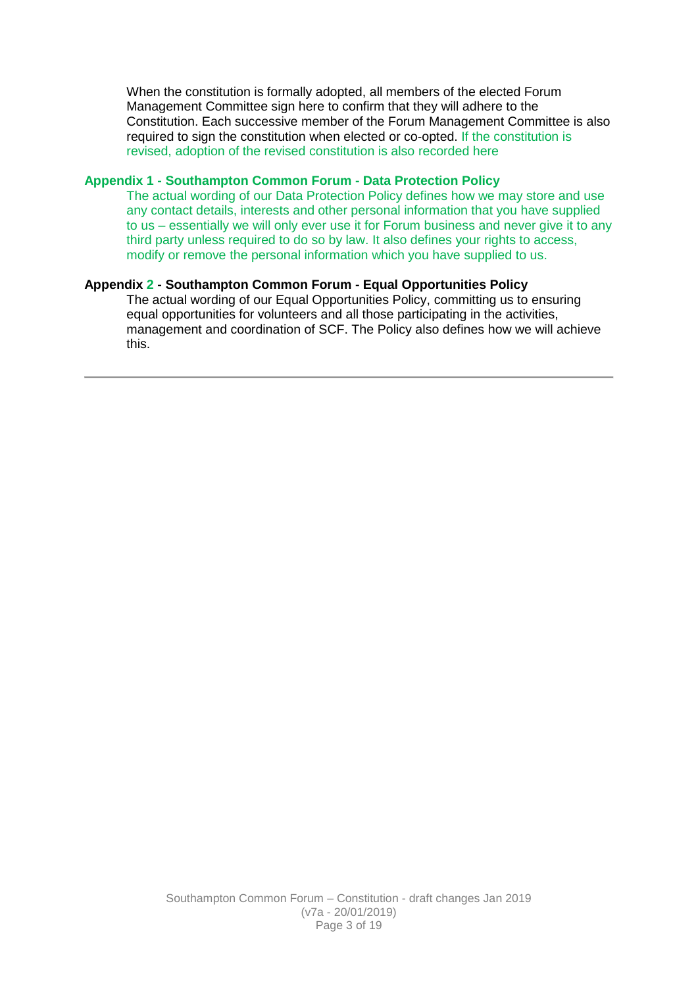When the constitution is formally adopted, all members of the elected Forum Management Committee sign here to confirm that they will adhere to the Constitution. Each successive member of the Forum Management Committee is also required to sign the constitution when elected or co-opted. If the constitution is revised, adoption of the revised constitution is also recorded here

#### **Appendix 1 - Southampton Common Forum - Data Protection Policy**

The actual wording of our Data Protection Policy defines how we may store and use any contact details, interests and other personal information that you have supplied to us – essentially we will only ever use it for Forum business and never give it to any third party unless required to do so by law. It also defines your rights to access, modify or remove the personal information which you have supplied to us.

#### **Appendix 2 - Southampton Common Forum - Equal Opportunities Policy**

The actual wording of our Equal Opportunities Policy, committing us to ensuring equal opportunities for volunteers and all those participating in the activities, management and coordination of SCF. The Policy also defines how we will achieve this.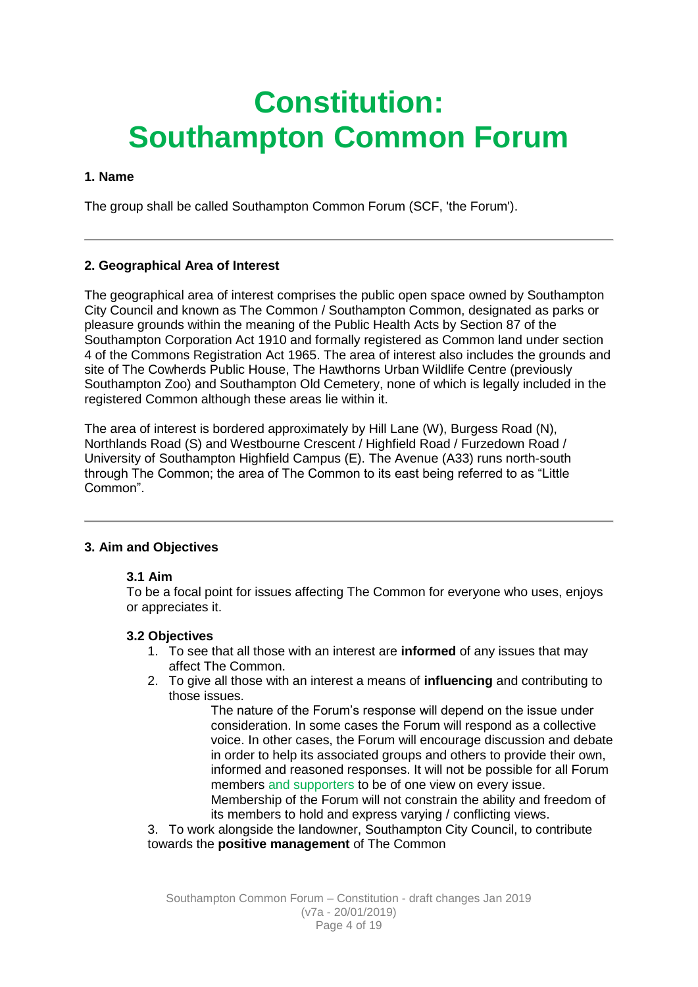# **Constitution: Southampton Common Forum**

# **1. Name**

The group shall be called Southampton Common Forum (SCF, 'the Forum').

# **2. Geographical Area of Interest**

The geographical area of interest comprises the public open space owned by Southampton City Council and known as The Common / Southampton Common, designated as parks or pleasure grounds within the meaning of the Public Health Acts by Section 87 of the Southampton Corporation Act 1910 and formally registered as Common land under section 4 of the Commons Registration Act 1965. The area of interest also includes the grounds and site of The Cowherds Public House, The Hawthorns Urban Wildlife Centre (previously Southampton Zoo) and Southampton Old Cemetery, none of which is legally included in the registered Common although these areas lie within it.

The area of interest is bordered approximately by Hill Lane (W), Burgess Road (N), Northlands Road (S) and Westbourne Crescent / Highfield Road / Furzedown Road / University of Southampton Highfield Campus (E). The Avenue (A33) runs north-south through The Common; the area of The Common to its east being referred to as "Little Common".

# **3. Aim and Objectives**

# **3.1 Aim**

To be a focal point for issues affecting The Common for everyone who uses, enjoys or appreciates it.

# **3.2 Objectives**

- 1. To see that all those with an interest are **informed** of any issues that may affect The Common.
- 2. To give all those with an interest a means of **influencing** and contributing to those issues.

The nature of the Forum's response will depend on the issue under consideration. In some cases the Forum will respond as a collective voice. In other cases, the Forum will encourage discussion and debate in order to help its associated groups and others to provide their own, informed and reasoned responses. It will not be possible for all Forum members and supporters to be of one view on every issue. Membership of the Forum will not constrain the ability and freedom of

its members to hold and express varying / conflicting views.

3. To work alongside the landowner, Southampton City Council, to contribute towards the **positive management** of The Common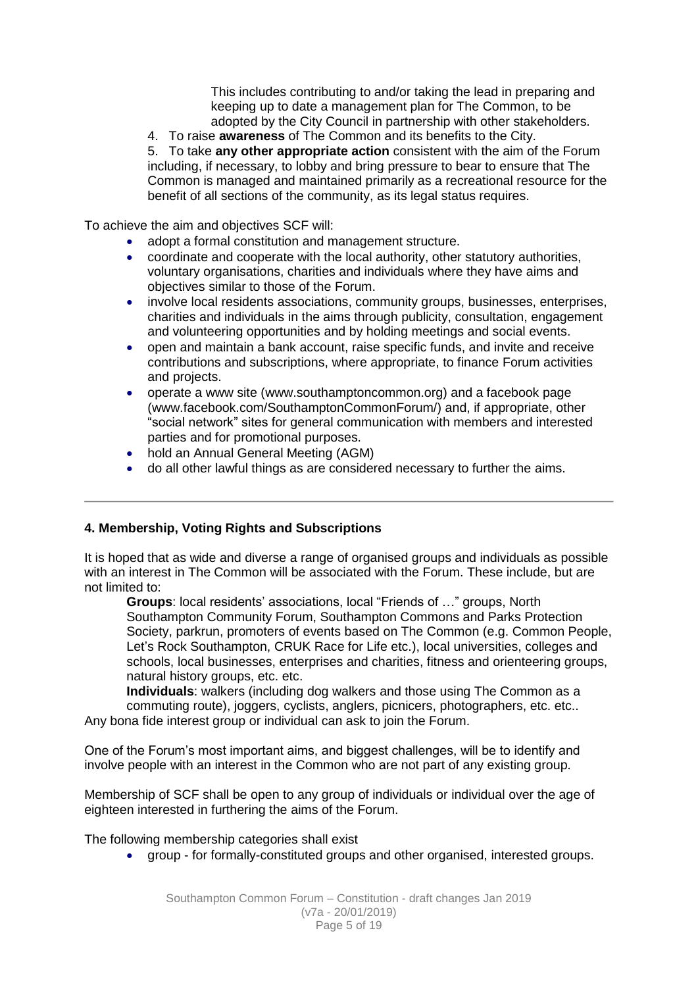This includes contributing to and/or taking the lead in preparing and keeping up to date a management plan for The Common, to be adopted by the City Council in partnership with other stakeholders.

4. To raise **awareness** of The Common and its benefits to the City.

5. To take **any other appropriate action** consistent with the aim of the Forum including, if necessary, to lobby and bring pressure to bear to ensure that The Common is managed and maintained primarily as a recreational resource for the benefit of all sections of the community, as its legal status requires.

To achieve the aim and objectives SCF will:

- adopt a formal constitution and management structure.
- coordinate and cooperate with the local authority, other statutory authorities, voluntary organisations, charities and individuals where they have aims and objectives similar to those of the Forum.
- involve local residents associations, community groups, businesses, enterprises, charities and individuals in the aims through publicity, consultation, engagement and volunteering opportunities and by holding meetings and social events.
- open and maintain a bank account, raise specific funds, and invite and receive contributions and subscriptions, where appropriate, to finance Forum activities and projects.
- operate a www site (www.southamptoncommon.org) and a facebook page (www.facebook.com/SouthamptonCommonForum/) and, if appropriate, other "social network" sites for general communication with members and interested parties and for promotional purposes.
- hold an Annual General Meeting (AGM)
- do all other lawful things as are considered necessary to further the aims.

# **4. Membership, Voting Rights and Subscriptions**

It is hoped that as wide and diverse a range of organised groups and individuals as possible with an interest in The Common will be associated with the Forum. These include, but are not limited to:

**Groups**: local residents' associations, local "Friends of …" groups, North Southampton Community Forum, Southampton Commons and Parks Protection Society, parkrun, promoters of events based on The Common (e.g. Common People, Let's Rock Southampton, CRUK Race for Life etc.), local universities, colleges and schools, local businesses, enterprises and charities, fitness and orienteering groups, natural history groups, etc. etc.

**Individuals**: walkers (including dog walkers and those using The Common as a commuting route), joggers, cyclists, anglers, picnicers, photographers, etc. etc.. Any bona fide interest group or individual can ask to join the Forum.

One of the Forum's most important aims, and biggest challenges, will be to identify and involve people with an interest in the Common who are not part of any existing group.

Membership of SCF shall be open to any group of individuals or individual over the age of eighteen interested in furthering the aims of the Forum.

The following membership categories shall exist

group - for formally-constituted groups and other organised, interested groups.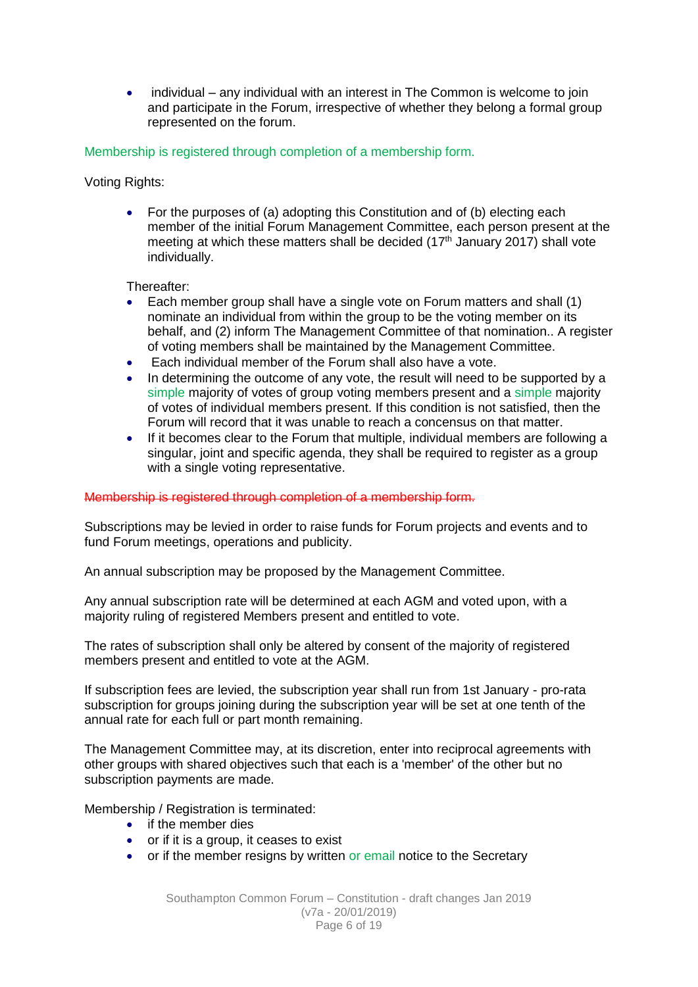individual – any individual with an interest in The Common is welcome to join and participate in the Forum, irrespective of whether they belong a formal group represented on the forum.

Membership is registered through completion of a membership form.

Voting Rights:

• For the purposes of (a) adopting this Constitution and of (b) electing each member of the initial Forum Management Committee, each person present at the meeting at which these matters shall be decided  $(17<sup>th</sup>$  January 2017) shall vote individually.

Thereafter:

- Each member group shall have a single vote on Forum matters and shall (1) nominate an individual from within the group to be the voting member on its behalf, and (2) inform The Management Committee of that nomination.. A register of voting members shall be maintained by the Management Committee.
- Each individual member of the Forum shall also have a vote.
- In determining the outcome of any vote, the result will need to be supported by a simple majority of votes of group voting members present and a simple majority of votes of individual members present. If this condition is not satisfied, then the Forum will record that it was unable to reach a concensus on that matter.
- If it becomes clear to the Forum that multiple, individual members are following a singular, joint and specific agenda, they shall be required to register as a group with a single voting representative.

# Membership is registered through completion of a membership form.

Subscriptions may be levied in order to raise funds for Forum projects and events and to fund Forum meetings, operations and publicity.

An annual subscription may be proposed by the Management Committee.

Any annual subscription rate will be determined at each AGM and voted upon, with a majority ruling of registered Members present and entitled to vote.

The rates of subscription shall only be altered by consent of the majority of registered members present and entitled to vote at the AGM.

If subscription fees are levied, the subscription year shall run from 1st January - pro-rata subscription for groups joining during the subscription year will be set at one tenth of the annual rate for each full or part month remaining.

The Management Committee may, at its discretion, enter into reciprocal agreements with other groups with shared objectives such that each is a 'member' of the other but no subscription payments are made.

Membership / Registration is terminated:

- if the member dies
- or if it is a group, it ceases to exist
- or if the member resigns by written or email notice to the Secretary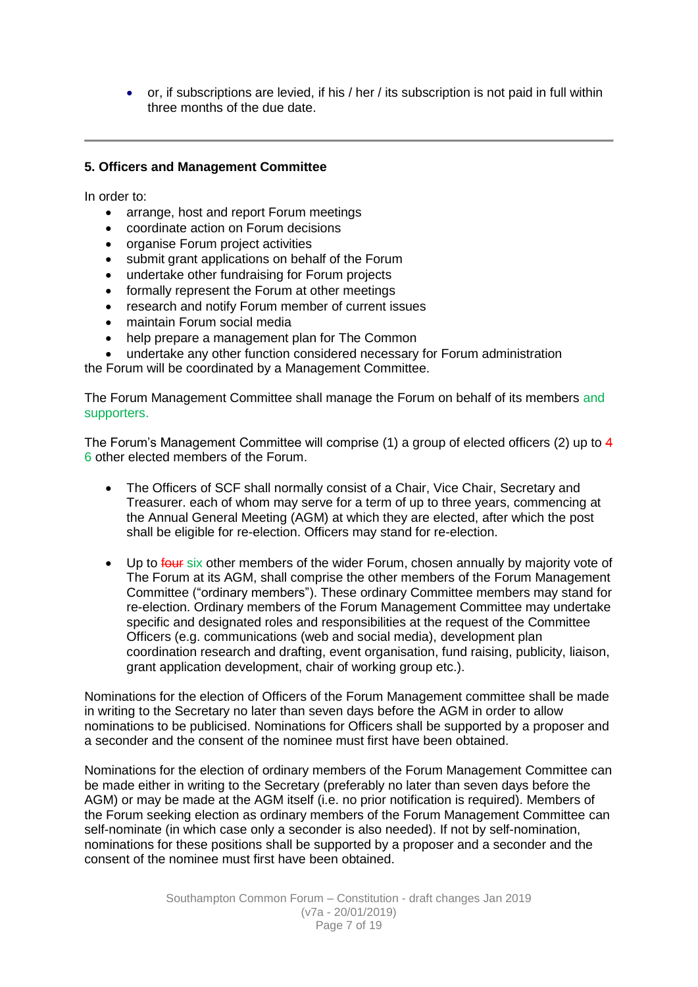or, if subscriptions are levied, if his / her / its subscription is not paid in full within three months of the due date.

# **5. Officers and Management Committee**

In order to:

- arrange, host and report Forum meetings
- coordinate action on Forum decisions
- organise Forum project activities
- submit grant applications on behalf of the Forum
- undertake other fundraising for Forum projects
- formally represent the Forum at other meetings
- research and notify Forum member of current issues
- maintain Forum social media
- help prepare a management plan for The Common
- undertake any other function considered necessary for Forum administration

the Forum will be coordinated by a Management Committee.

The Forum Management Committee shall manage the Forum on behalf of its members and supporters.

The Forum's Management Committee will comprise (1) a group of elected officers (2) up to 4 6 other elected members of the Forum.

- The Officers of SCF shall normally consist of a Chair, Vice Chair, Secretary and Treasurer. each of whom may serve for a term of up to three years, commencing at the Annual General Meeting (AGM) at which they are elected, after which the post shall be eligible for re-election. Officers may stand for re-election.
- Up to four six other members of the wider Forum, chosen annually by majority vote of The Forum at its AGM, shall comprise the other members of the Forum Management Committee ("ordinary members"). These ordinary Committee members may stand for re-election. Ordinary members of the Forum Management Committee may undertake specific and designated roles and responsibilities at the request of the Committee Officers (e.g. communications (web and social media), development plan coordination research and drafting, event organisation, fund raising, publicity, liaison, grant application development, chair of working group etc.).

Nominations for the election of Officers of the Forum Management committee shall be made in writing to the Secretary no later than seven days before the AGM in order to allow nominations to be publicised. Nominations for Officers shall be supported by a proposer and a seconder and the consent of the nominee must first have been obtained.

Nominations for the election of ordinary members of the Forum Management Committee can be made either in writing to the Secretary (preferably no later than seven days before the AGM) or may be made at the AGM itself (i.e. no prior notification is required). Members of the Forum seeking election as ordinary members of the Forum Management Committee can self-nominate (in which case only a seconder is also needed). If not by self-nomination, nominations for these positions shall be supported by a proposer and a seconder and the consent of the nominee must first have been obtained.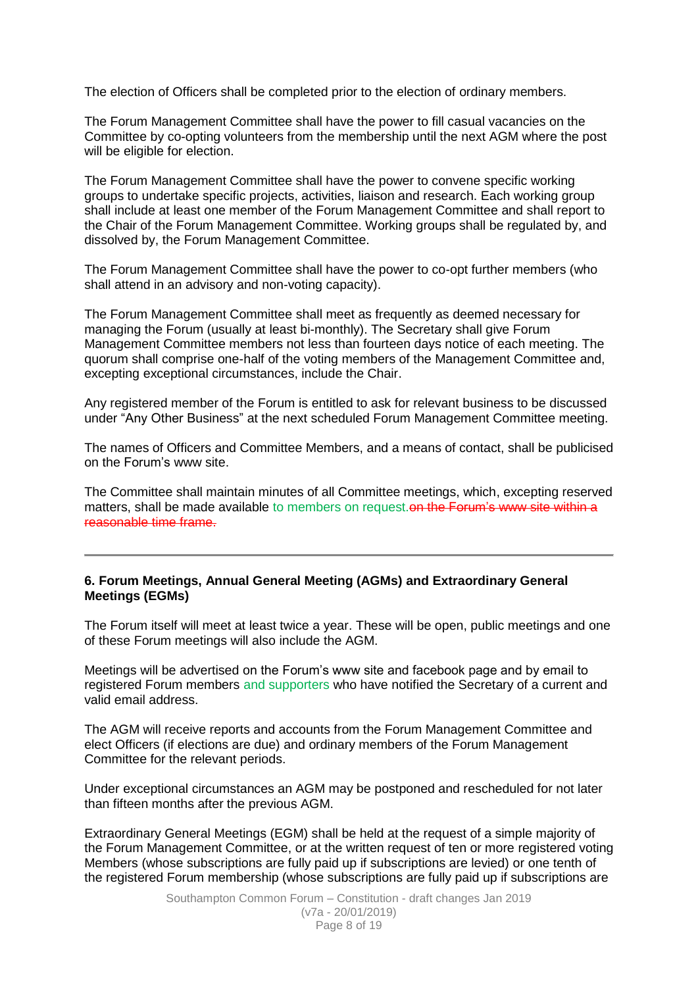The election of Officers shall be completed prior to the election of ordinary members.

The Forum Management Committee shall have the power to fill casual vacancies on the Committee by co-opting volunteers from the membership until the next AGM where the post will be eligible for election.

The Forum Management Committee shall have the power to convene specific working groups to undertake specific projects, activities, liaison and research. Each working group shall include at least one member of the Forum Management Committee and shall report to the Chair of the Forum Management Committee. Working groups shall be regulated by, and dissolved by, the Forum Management Committee.

The Forum Management Committee shall have the power to co-opt further members (who shall attend in an advisory and non-voting capacity).

The Forum Management Committee shall meet as frequently as deemed necessary for managing the Forum (usually at least bi-monthly). The Secretary shall give Forum Management Committee members not less than fourteen days notice of each meeting. The quorum shall comprise one-half of the voting members of the Management Committee and, excepting exceptional circumstances, include the Chair.

Any registered member of the Forum is entitled to ask for relevant business to be discussed under "Any Other Business" at the next scheduled Forum Management Committee meeting.

The names of Officers and Committee Members, and a means of contact, shall be publicised on the Forum's www site.

The Committee shall maintain minutes of all Committee meetings, which, excepting reserved matters, shall be made available to members on request. On the Forum's www site within a reasonable time frame.

#### **6. Forum Meetings, Annual General Meeting (AGMs) and Extraordinary General Meetings (EGMs)**

The Forum itself will meet at least twice a year. These will be open, public meetings and one of these Forum meetings will also include the AGM.

Meetings will be advertised on the Forum's www site and facebook page and by email to registered Forum members and supporters who have notified the Secretary of a current and valid email address.

The AGM will receive reports and accounts from the Forum Management Committee and elect Officers (if elections are due) and ordinary members of the Forum Management Committee for the relevant periods.

Under exceptional circumstances an AGM may be postponed and rescheduled for not later than fifteen months after the previous AGM.

Extraordinary General Meetings (EGM) shall be held at the request of a simple majority of the Forum Management Committee, or at the written request of ten or more registered voting Members (whose subscriptions are fully paid up if subscriptions are levied) or one tenth of the registered Forum membership (whose subscriptions are fully paid up if subscriptions are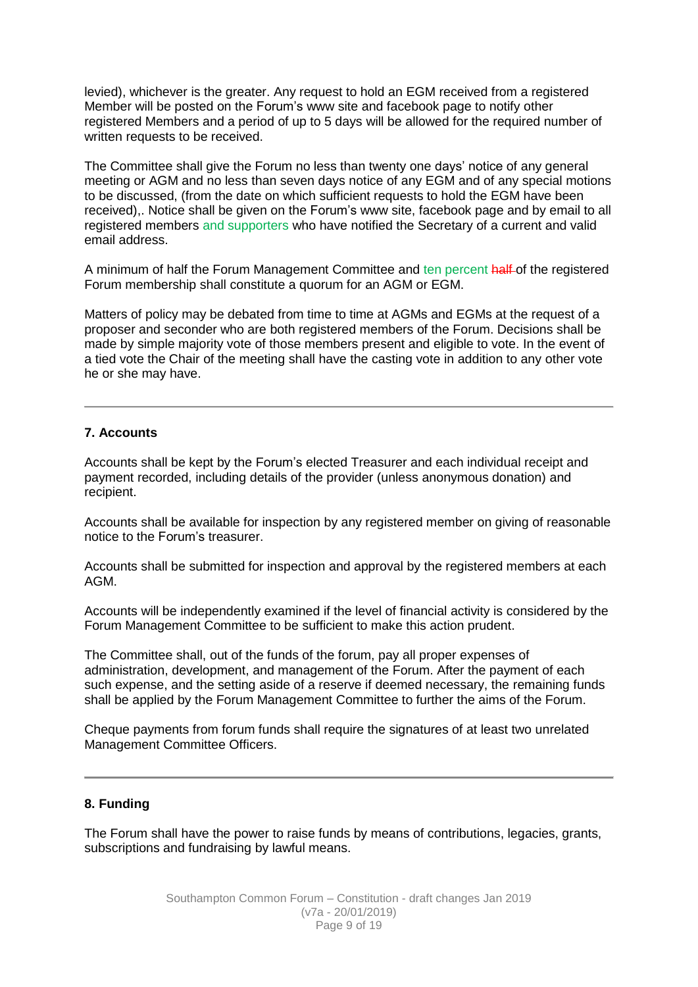levied), whichever is the greater. Any request to hold an EGM received from a registered Member will be posted on the Forum's www site and facebook page to notify other registered Members and a period of up to 5 days will be allowed for the required number of written requests to be received.

The Committee shall give the Forum no less than twenty one days' notice of any general meeting or AGM and no less than seven days notice of any EGM and of any special motions to be discussed, (from the date on which sufficient requests to hold the EGM have been received),. Notice shall be given on the Forum's www site, facebook page and by email to all registered members and supporters who have notified the Secretary of a current and valid email address.

A minimum of half the Forum Management Committee and ten percent half of the registered Forum membership shall constitute a quorum for an AGM or EGM.

Matters of policy may be debated from time to time at AGMs and EGMs at the request of a proposer and seconder who are both registered members of the Forum. Decisions shall be made by simple majority vote of those members present and eligible to vote. In the event of a tied vote the Chair of the meeting shall have the casting vote in addition to any other vote he or she may have.

# **7. Accounts**

Accounts shall be kept by the Forum's elected Treasurer and each individual receipt and payment recorded, including details of the provider (unless anonymous donation) and recipient.

Accounts shall be available for inspection by any registered member on giving of reasonable notice to the Forum's treasurer.

Accounts shall be submitted for inspection and approval by the registered members at each AGM.

Accounts will be independently examined if the level of financial activity is considered by the Forum Management Committee to be sufficient to make this action prudent.

The Committee shall, out of the funds of the forum, pay all proper expenses of administration, development, and management of the Forum. After the payment of each such expense, and the setting aside of a reserve if deemed necessary, the remaining funds shall be applied by the Forum Management Committee to further the aims of the Forum.

Cheque payments from forum funds shall require the signatures of at least two unrelated Management Committee Officers.

#### **8. Funding**

The Forum shall have the power to raise funds by means of contributions, legacies, grants, subscriptions and fundraising by lawful means.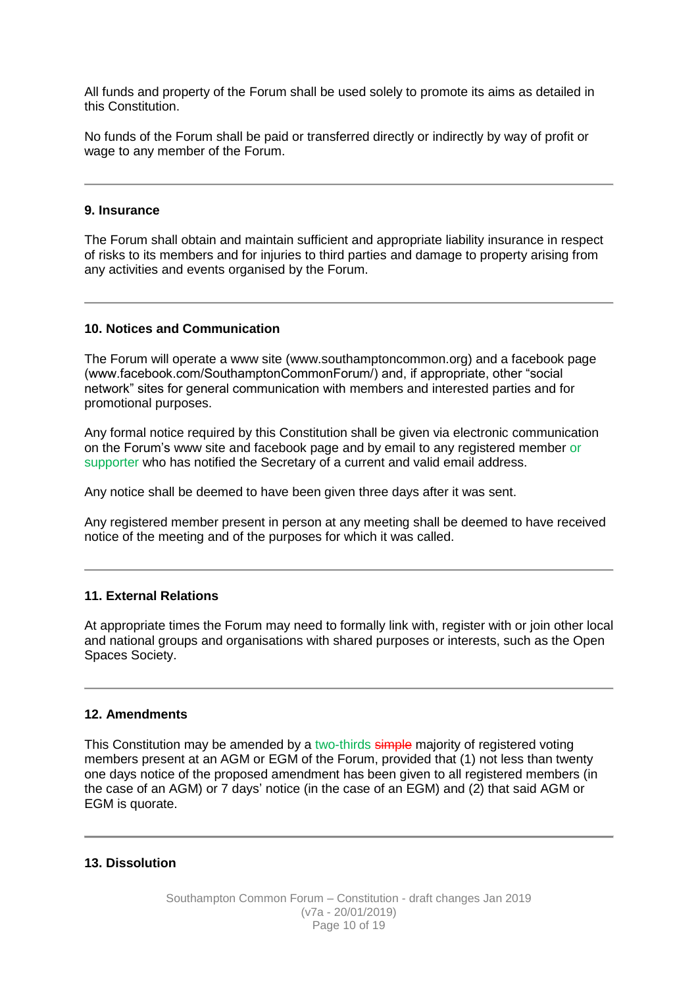All funds and property of the Forum shall be used solely to promote its aims as detailed in this Constitution.

No funds of the Forum shall be paid or transferred directly or indirectly by way of profit or wage to any member of the Forum.

#### **9. Insurance**

The Forum shall obtain and maintain sufficient and appropriate liability insurance in respect of risks to its members and for injuries to third parties and damage to property arising from any activities and events organised by the Forum.

#### **10. Notices and Communication**

The Forum will operate a www site (www.southamptoncommon.org) and a facebook page (www.facebook.com/SouthamptonCommonForum/) and, if appropriate, other "social network" sites for general communication with members and interested parties and for promotional purposes.

Any formal notice required by this Constitution shall be given via electronic communication on the Forum's www site and facebook page and by email to any registered member or supporter who has notified the Secretary of a current and valid email address.

Any notice shall be deemed to have been given three days after it was sent.

Any registered member present in person at any meeting shall be deemed to have received notice of the meeting and of the purposes for which it was called.

#### **11. External Relations**

At appropriate times the Forum may need to formally link with, register with or join other local and national groups and organisations with shared purposes or interests, such as the Open Spaces Society.

#### **12. Amendments**

This Constitution may be amended by a two-thirds simple majority of registered voting members present at an AGM or EGM of the Forum, provided that (1) not less than twenty one days notice of the proposed amendment has been given to all registered members (in the case of an AGM) or 7 days' notice (in the case of an EGM) and (2) that said AGM or EGM is quorate.

#### **13. Dissolution**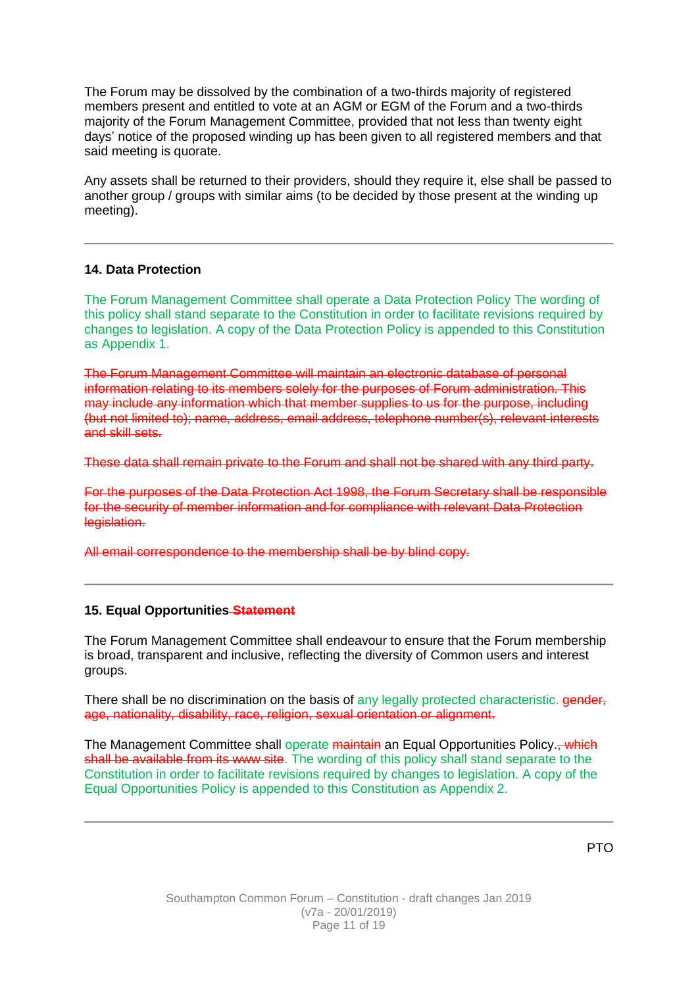The Forum may be dissolved by the combination of a two-thirds majority of registered members present and entitled to vote at an AGM or EGM of the Forum and a two-thirds majority of the Forum Management Committee, provided that not less than twenty eight days' notice of the proposed winding up has been given to all registered members and that said meeting is quorate.

Any assets shall be returned to their providers, should they require it, else shall be passed to another group / groups with similar aims (to be decided by those present at the winding up meeting).

#### **14. Data Protection**

The Forum Management Committee shall operate a Data Protection Policy The wording of this policy shall stand separate to the Constitution in order to facilitate revisions required by changes to legislation. A copy of the Data Protection Policy is appended to this Constitution as Appendix 1.

The Forum Management Committee will maintain an electronic database of personal information relating to its members solely for the purposes of Forum administration. This may include any information which that member supplies to us for the purpose, including (but not limited to); name, address, email address, telephone number(s), relevant interests and skill sets.

These data shall remain private to the Forum and shall not be shared with any third party.

For the purposes of the Data Protection Act 1998, the Forum Secretary shall be responsible for the security of member information and for compliance with relevant Data Protection legislation.

All email correspondence to the membership shall be by blind copy.

# **15. Equal Opportunities Statement**

The Forum Management Committee shall endeavour to ensure that the Forum membership is broad, transparent and inclusive, reflecting the diversity of Common users and interest groups.

There shall be no discrimination on the basis of any legally protected characteristic. **gender,** age, nationality, disability, race, religion, sexual orientation or alignment.

The Management Committee shall operate maintain an Equal Opportunities Policy. which shall be available from its www site. The wording of this policy shall stand separate to the Constitution in order to facilitate revisions required by changes to legislation. A copy of the Equal Opportunities Policy is appended to this Constitution as Appendix 2.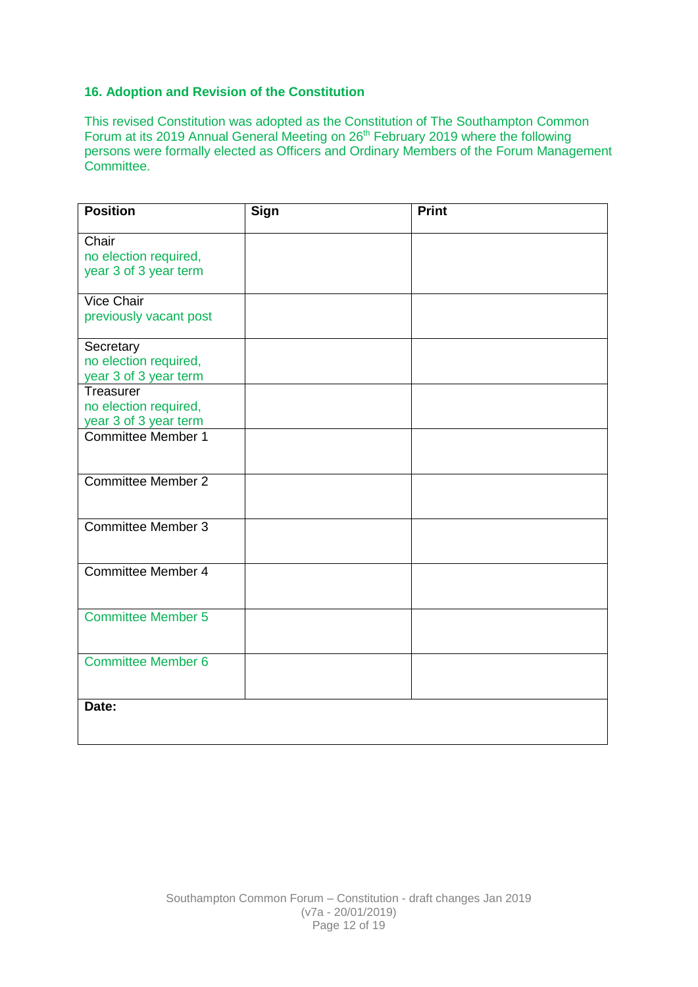# **16. Adoption and Revision of the Constitution**

This revised Constitution was adopted as the Constitution of The Southampton Common Forum at its 2019 Annual General Meeting on 26<sup>th</sup> February 2019 where the following persons were formally elected as Officers and Ordinary Members of the Forum Management Committee.

| <b>Position</b>           | <b>Sign</b> | <b>Print</b> |
|---------------------------|-------------|--------------|
| Chair                     |             |              |
| no election required,     |             |              |
| year 3 of 3 year term     |             |              |
| <b>Vice Chair</b>         |             |              |
| previously vacant post    |             |              |
| Secretary                 |             |              |
| no election required,     |             |              |
| year 3 of 3 year term     |             |              |
| Treasurer                 |             |              |
| no election required,     |             |              |
| year 3 of 3 year term     |             |              |
| <b>Committee Member 1</b> |             |              |
|                           |             |              |
|                           |             |              |
| <b>Committee Member 2</b> |             |              |
|                           |             |              |
|                           |             |              |
| <b>Committee Member 3</b> |             |              |
|                           |             |              |
|                           |             |              |
| <b>Committee Member 4</b> |             |              |
|                           |             |              |
|                           |             |              |
| <b>Committee Member 5</b> |             |              |
|                           |             |              |
|                           |             |              |
| <b>Committee Member 6</b> |             |              |
|                           |             |              |
|                           |             |              |
| Date:                     |             |              |
|                           |             |              |
|                           |             |              |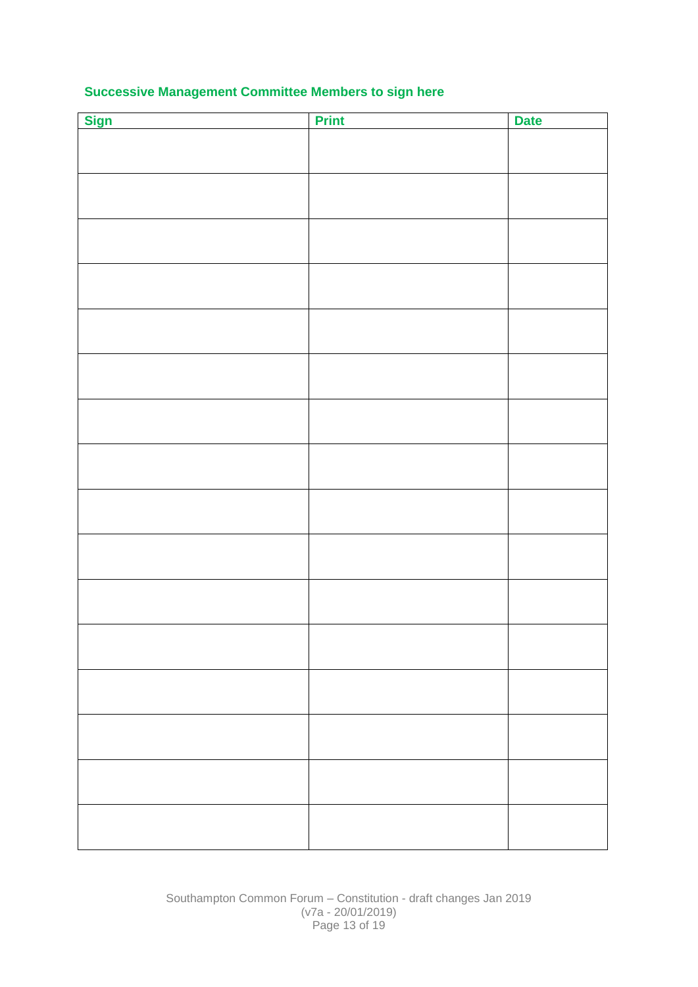# **Successive Management Committee Members to sign here**

| <b>Sign</b> | <b>Print</b> | <b>Date</b> |
|-------------|--------------|-------------|
|             |              |             |
|             |              |             |
|             |              |             |
|             |              |             |
|             |              |             |
|             |              |             |
|             |              |             |
|             |              |             |
|             |              |             |
|             |              |             |
|             |              |             |
|             |              |             |
|             |              |             |
|             |              |             |
|             |              |             |
|             |              |             |
|             |              |             |
|             |              |             |
|             |              |             |
|             |              |             |
|             |              |             |
|             |              |             |
|             |              |             |
|             |              |             |
|             |              |             |
|             |              |             |
|             |              |             |
|             |              |             |
|             |              |             |
|             |              |             |
|             |              |             |
|             |              |             |
|             |              |             |
|             |              |             |
|             |              |             |

Southampton Common Forum – Constitution - draft changes Jan 2019 (v7a - 20/01/2019) Page 13 of 19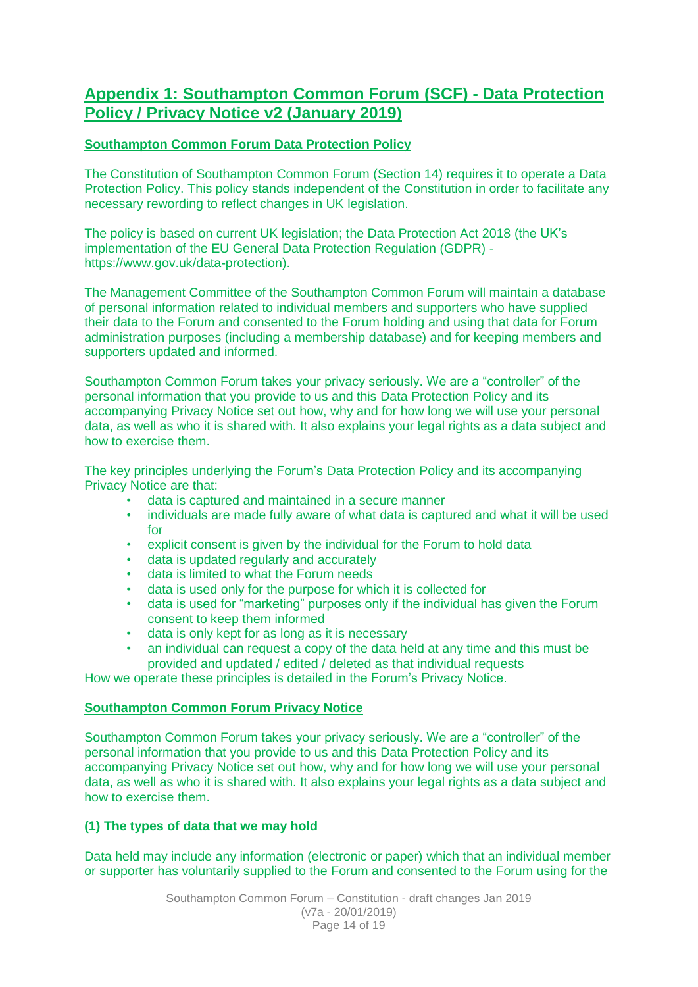# **Appendix 1: Southampton Common Forum (SCF) - Data Protection Policy / Privacy Notice v2 (January 2019)**

# **Southampton Common Forum Data Protection Policy**

The Constitution of Southampton Common Forum (Section 14) requires it to operate a Data Protection Policy. This policy stands independent of the Constitution in order to facilitate any necessary rewording to reflect changes in UK legislation.

The policy is based on current UK legislation; the Data Protection Act 2018 (the UK's implementation of the EU General Data Protection Regulation (GDPR) https://www.gov.uk/data-protection).

The Management Committee of the Southampton Common Forum will maintain a database of personal information related to individual members and supporters who have supplied their data to the Forum and consented to the Forum holding and using that data for Forum administration purposes (including a membership database) and for keeping members and supporters updated and informed.

Southampton Common Forum takes your privacy seriously. We are a "controller" of the personal information that you provide to us and this Data Protection Policy and its accompanying Privacy Notice set out how, why and for how long we will use your personal data, as well as who it is shared with. It also explains your legal rights as a data subject and how to exercise them.

The key principles underlying the Forum's Data Protection Policy and its accompanying Privacy Notice are that:

- data is captured and maintained in a secure manner
- individuals are made fully aware of what data is captured and what it will be used for
- explicit consent is given by the individual for the Forum to hold data
- data is updated regularly and accurately
- data is limited to what the Forum needs
- data is used only for the purpose for which it is collected for
- data is used for "marketing" purposes only if the individual has given the Forum consent to keep them informed
- data is only kept for as long as it is necessary
- an individual can request a copy of the data held at any time and this must be provided and updated / edited / deleted as that individual requests

How we operate these principles is detailed in the Forum's Privacy Notice.

# **Southampton Common Forum Privacy Notice**

Southampton Common Forum takes your privacy seriously. We are a "controller" of the personal information that you provide to us and this Data Protection Policy and its accompanying Privacy Notice set out how, why and for how long we will use your personal data, as well as who it is shared with. It also explains your legal rights as a data subject and how to exercise them.

# **(1) The types of data that we may hold**

Data held may include any information (electronic or paper) which that an individual member or supporter has voluntarily supplied to the Forum and consented to the Forum using for the

> Southampton Common Forum – Constitution - draft changes Jan 2019 (v7a - 20/01/2019) Page 14 of 19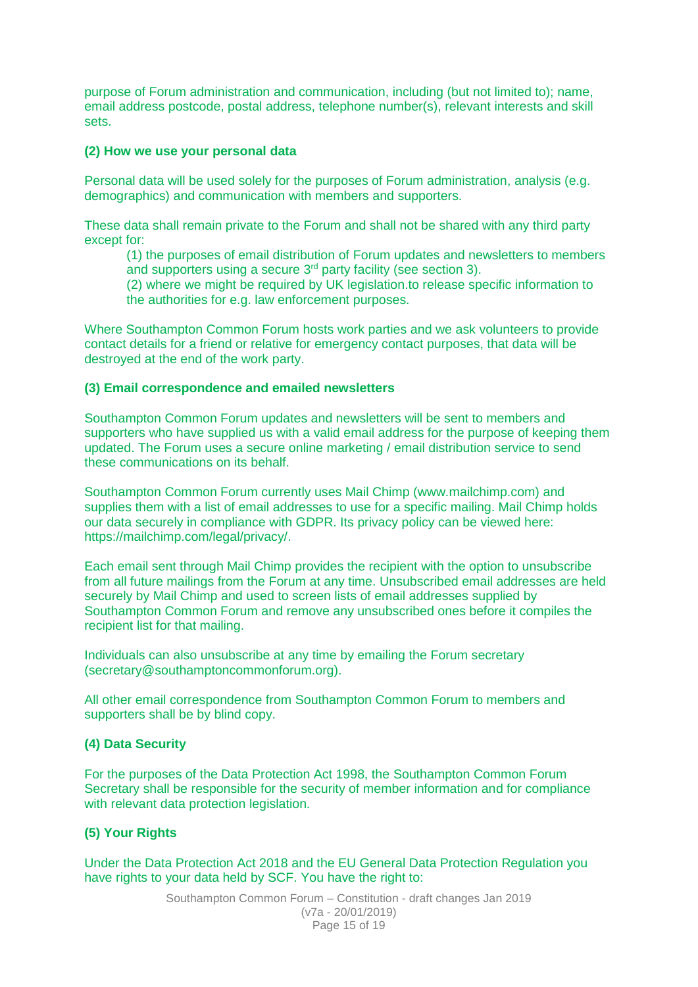purpose of Forum administration and communication, including (but not limited to); name, email address postcode, postal address, telephone number(s), relevant interests and skill sets.

#### **(2) How we use your personal data**

Personal data will be used solely for the purposes of Forum administration, analysis (e.g. demographics) and communication with members and supporters.

These data shall remain private to the Forum and shall not be shared with any third party except for:

(1) the purposes of email distribution of Forum updates and newsletters to members and supporters using a secure 3rd party facility (see section 3).

(2) where we might be required by UK legislation.to release specific information to the authorities for e.g. law enforcement purposes.

Where Southampton Common Forum hosts work parties and we ask volunteers to provide contact details for a friend or relative for emergency contact purposes, that data will be destroyed at the end of the work party.

#### **(3) Email correspondence and emailed newsletters**

Southampton Common Forum updates and newsletters will be sent to members and supporters who have supplied us with a valid email address for the purpose of keeping them updated. The Forum uses a secure online marketing / email distribution service to send these communications on its behalf.

Southampton Common Forum currently uses Mail Chimp (www.mailchimp.com) and supplies them with a list of email addresses to use for a specific mailing. Mail Chimp holds our data securely in compliance with GDPR. Its privacy policy can be viewed here: https://mailchimp.com/legal/privacy/.

Each email sent through Mail Chimp provides the recipient with the option to unsubscribe from all future mailings from the Forum at any time. Unsubscribed email addresses are held securely by Mail Chimp and used to screen lists of email addresses supplied by Southampton Common Forum and remove any unsubscribed ones before it compiles the recipient list for that mailing.

Individuals can also unsubscribe at any time by emailing the Forum secretary (secretary@southamptoncommonforum.org).

All other email correspondence from Southampton Common Forum to members and supporters shall be by blind copy.

# **(4) Data Security**

For the purposes of the Data Protection Act 1998, the Southampton Common Forum Secretary shall be responsible for the security of member information and for compliance with relevant data protection legislation.

# **(5) Your Rights**

Under the Data Protection Act 2018 and the EU General Data Protection Regulation you have rights to your data held by SCF. You have the right to:

> Southampton Common Forum – Constitution - draft changes Jan 2019 (v7a - 20/01/2019) Page 15 of 19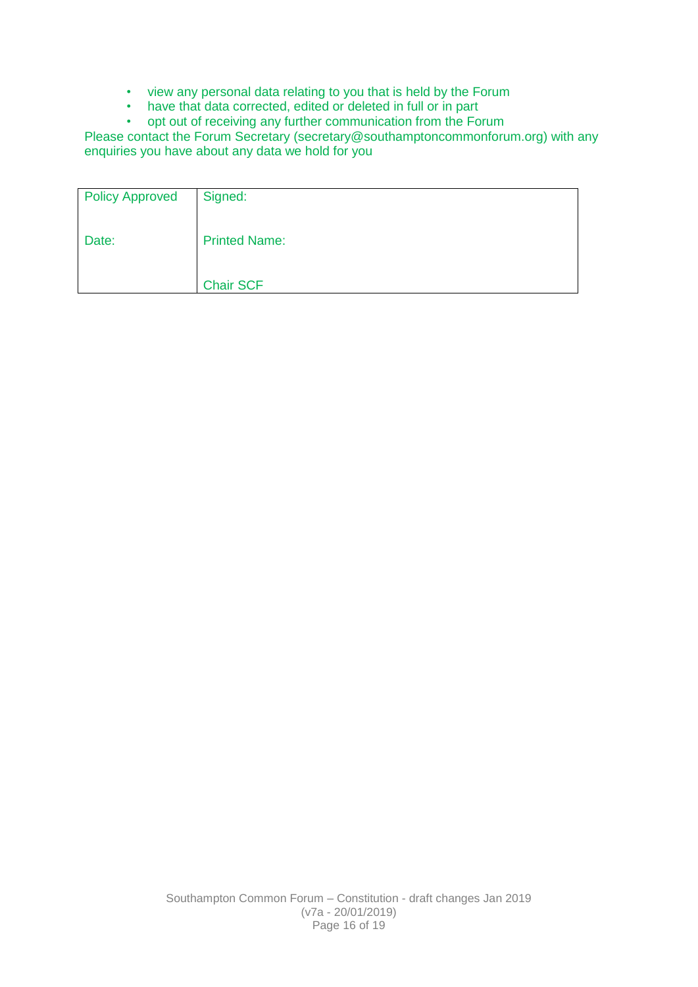- view any personal data relating to you that is held by the Forum
- have that data corrected, edited or deleted in full or in part
- opt out of receiving any further communication from the Forum

Please contact the Forum Secretary (secretary@southamptoncommonforum.org) with any enquiries you have about any data we hold for you

| <b>Policy Approved</b> | Signed:              |
|------------------------|----------------------|
| Date:                  | <b>Printed Name:</b> |
|                        | <b>Chair SCF</b>     |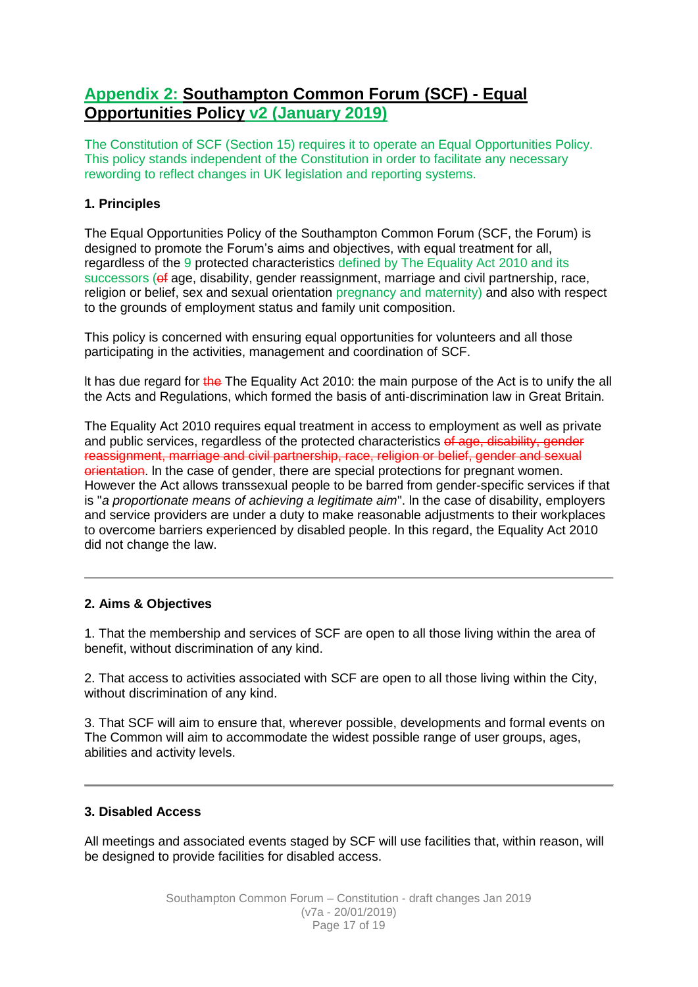# **Appendix 2: Southampton Common Forum (SCF) - Equal Opportunities Policy v2 (January 2019)**

The Constitution of SCF (Section 15) requires it to operate an Equal Opportunities Policy. This policy stands independent of the Constitution in order to facilitate any necessary rewording to reflect changes in UK legislation and reporting systems.

# **1. Principles**

The Equal Opportunities Policy of the Southampton Common Forum (SCF, the Forum) is designed to promote the Forum's aims and objectives, with equal treatment for all, regardless of the 9 protected characteristics defined by The Equality Act 2010 and its successors ( $\theta$  age, disability, gender reassignment, marriage and civil partnership, race, religion or belief, sex and sexual orientation pregnancy and maternity) and also with respect to the grounds of employment status and family unit composition.

This policy is concerned with ensuring equal opportunities for volunteers and all those participating in the activities, management and coordination of SCF.

It has due regard for the The Equality Act 2010: the main purpose of the Act is to unify the all the Acts and Regulations, which formed the basis of anti-discrimination law in Great Britain.

The Equality Act 2010 requires equal treatment in access to employment as well as private and public services, regardless of the protected characteristics of age, disability, gender reassignment, marriage and civil partnership, race, religion or belief, gender and sexual orientation. In the case of gender, there are special protections for pregnant women. However the Act allows transsexual people to be barred from gender-specific services if that is "*a proportionate means of achieving a legitimate aim*". ln the case of disability, employers and service providers are under a duty to make reasonable adjustments to their workplaces to overcome barriers experienced by disabled people. ln this regard, the Equality Act 2010 did not change the law.

# **2. Aims & Objectives**

1. That the membership and services of SCF are open to all those living within the area of benefit, without discrimination of any kind.

2. That access to activities associated with SCF are open to all those living within the City, without discrimination of any kind.

3. That SCF will aim to ensure that, wherever possible, developments and formal events on The Common will aim to accommodate the widest possible range of user groups, ages, abilities and activity levels.

# **3. Disabled Access**

All meetings and associated events staged by SCF will use facilities that, within reason, will be designed to provide facilities for disabled access.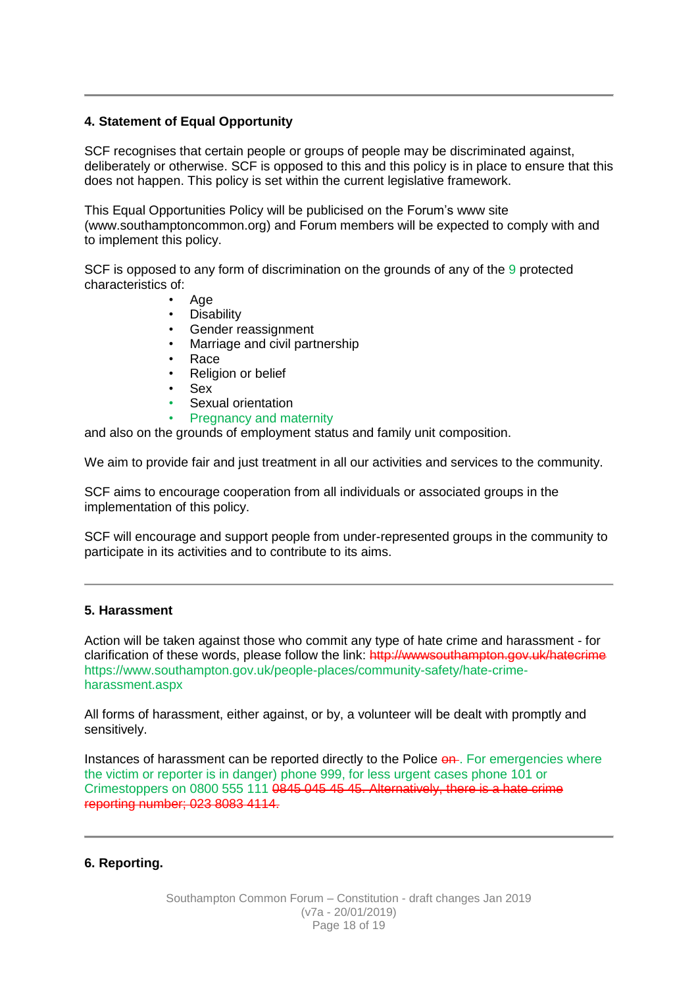# **4. Statement of Equal Opportunity**

SCF recognises that certain people or groups of people may be discriminated against, deliberately or otherwise. SCF is opposed to this and this policy is in place to ensure that this does not happen. This policy is set within the current legislative framework.

This Equal Opportunities Policy will be publicised on the Forum's www site (www.southamptoncommon.org) and Forum members will be expected to comply with and to implement this policy.

SCF is opposed to any form of discrimination on the grounds of any of the 9 protected characteristics of:

- Age
- **Disability**
- Gender reassignment
- Marriage and civil partnership
- Race
- Religion or belief
- Sex
- Sexual orientation
- Pregnancy and maternity

and also on the grounds of employment status and family unit composition.

We aim to provide fair and just treatment in all our activities and services to the community.

SCF aims to encourage cooperation from all individuals or associated groups in the implementation of this policy.

SCF will encourage and support people from under-represented groups in the community to participate in its activities and to contribute to its aims.

# **5. Harassment**

Action will be taken against those who commit any type of hate crime and harassment - for clarification of these words, please follow the link: http://wwwsouthampton.gov.uk/hatecrime https://www.southampton.gov.uk/people-places/community-safety/hate-crimeharassment.aspx

All forms of harassment, either against, or by, a volunteer will be dealt with promptly and sensitively.

Instances of harassment can be reported directly to the Police on. For emergencies where the victim or reporter is in danger) phone 999, for less urgent cases phone 101 or Crimestoppers on 0800 555 111 0845 045 45 45. Alternatively, there is a hate crime reporting number; 023 8083 4114.

# **6. Reporting.**